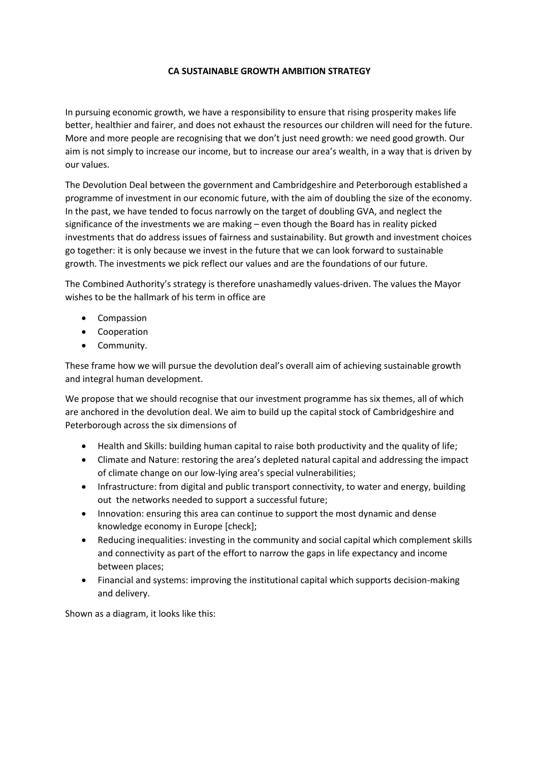## **CA SUSTAINABLE GROWTH AMBITION STRATEGY**

In pursuing economic growth, we have a responsibility to ensure that rising prosperity makes life better, healthier and fairer, and does not exhaust the resources our children will need for the future. More and more people are recognising that we don't just need growth: we need good growth. Our aim is not simply to increase our income, but to increase our area's wealth, in a way that is driven by our values.

The Devolution Deal between the government and Cambridgeshire and Peterborough established a programme of investment in our economic future, with the aim of doubling the size of the economy. In the past, we have tended to focus narrowly on the target of doubling GVA, and neglect the significance of the investments we are making – even though the Board has in reality picked investments that do address issues of fairness and sustainability. But growth and investment choices go together: it is only because we invest in the future that we can look forward to sustainable growth. The investments we pick reflect our values and are the foundations of our future.

The Combined Authority's strategy is therefore unashamedly values-driven. The values the Mayor wishes to be the hallmark of his term in office are

- Compassion
- Cooperation
- Community.

These frame how we will pursue the devolution deal's overall aim of achieving sustainable growth and integral human development.

We propose that we should recognise that our investment programme has six themes, all of which are anchored in the devolution deal. We aim to build up the capital stock of Cambridgeshire and Peterborough across the six dimensions of

- Health and Skills: building human capital to raise both productivity and the quality of life;
- Climate and Nature: restoring the area's depleted natural capital and addressing the impact of climate change on our low-lying area's special vulnerabilities;
- Infrastructure: from digital and public transport connectivity, to water and energy, building out the networks needed to support a successful future;
- Innovation: ensuring this area can continue to support the most dynamic and dense knowledge economy in Europe [check];
- Reducing inequalities: investing in the community and social capital which complement skills and connectivity as part of the effort to narrow the gaps in life expectancy and income between places;
- Financial and systems: improving the institutional capital which supports decision-making and delivery.

Shown as a diagram, it looks like this: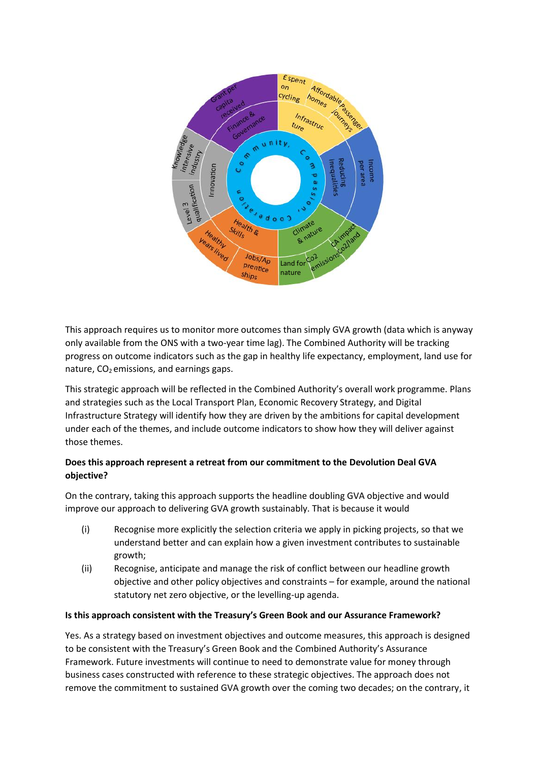

This approach requires us to monitor more outcomes than simply GVA growth (data which is anyway only available from the ONS with a two-year time lag). The Combined Authority will be tracking progress on outcome indicators such as the gap in healthy life expectancy, employment, land use for nature,  $CO<sub>2</sub>$  emissions, and earnings gaps.

This strategic approach will be reflected in the Combined Authority's overall work programme. Plans and strategies such as the Local Transport Plan, Economic Recovery Strategy, and Digital Infrastructure Strategy will identify how they are driven by the ambitions for capital development under each of the themes, and include outcome indicators to show how they will deliver against those themes.

## **Does this approach represent a retreat from our commitment to the Devolution Deal GVA objective?**

On the contrary, taking this approach supports the headline doubling GVA objective and would improve our approach to delivering GVA growth sustainably. That is because it would

- (i) Recognise more explicitly the selection criteria we apply in picking projects, so that we understand better and can explain how a given investment contributes to sustainable growth;
- (ii) Recognise, anticipate and manage the risk of conflict between our headline growth objective and other policy objectives and constraints – for example, around the national statutory net zero objective, or the levelling-up agenda.

## **Is this approach consistent with the Treasury's Green Book and our Assurance Framework?**

Yes. As a strategy based on investment objectives and outcome measures, this approach is designed to be consistent with the Treasury's Green Book and the Combined Authority's Assurance Framework. Future investments will continue to need to demonstrate value for money through business cases constructed with reference to these strategic objectives. The approach does not remove the commitment to sustained GVA growth over the coming two decades; on the contrary, it